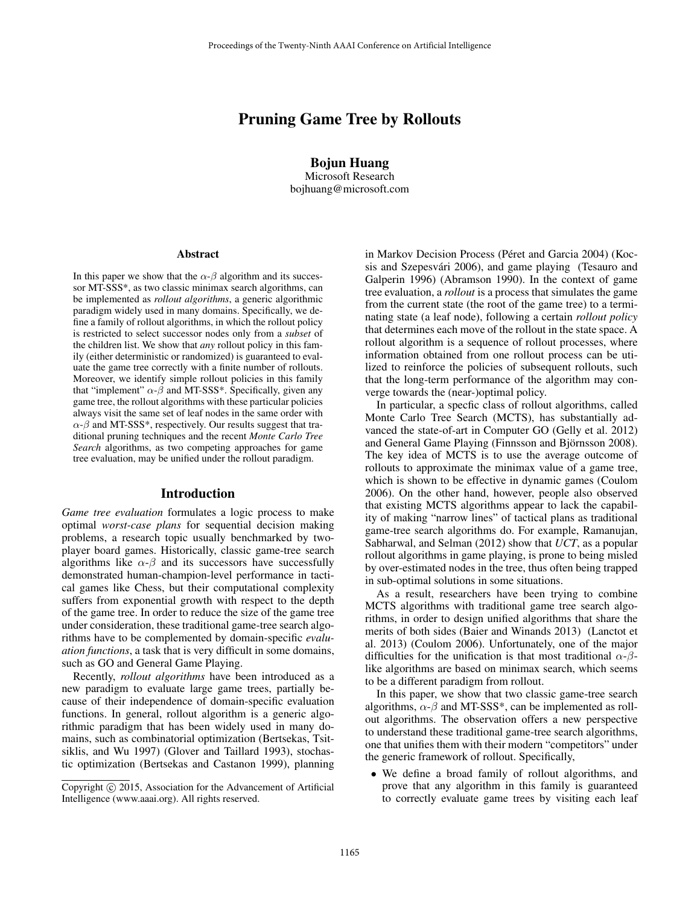# Pruning Game Tree by Rollouts

Bojun Huang Microsoft Research bojhuang@microsoft.com

#### **Abstract**

In this paper we show that the  $\alpha$ - $\beta$  algorithm and its successor MT-SSS\*, as two classic minimax search algorithms, can be implemented as *rollout algorithms*, a generic algorithmic paradigm widely used in many domains. Specifically, we define a family of rollout algorithms, in which the rollout policy is restricted to select successor nodes only from a *subset* of the children list. We show that *any* rollout policy in this family (either deterministic or randomized) is guaranteed to evaluate the game tree correctly with a finite number of rollouts. Moreover, we identify simple rollout policies in this family that "implement"  $\alpha$ - $\beta$  and MT-SSS\*. Specifically, given any game tree, the rollout algorithms with these particular policies always visit the same set of leaf nodes in the same order with  $\alpha$ - $\beta$  and MT-SSS<sup>\*</sup>, respectively. Our results suggest that traditional pruning techniques and the recent *Monte Carlo Tree Search* algorithms, as two competing approaches for game tree evaluation, may be unified under the rollout paradigm.

#### Introduction

*Game tree evaluation* formulates a logic process to make optimal *worst-case plans* for sequential decision making problems, a research topic usually benchmarked by twoplayer board games. Historically, classic game-tree search algorithms like  $\alpha-\beta$  and its successors have successfully demonstrated human-champion-level performance in tactical games like Chess, but their computational complexity suffers from exponential growth with respect to the depth of the game tree. In order to reduce the size of the game tree under consideration, these traditional game-tree search algorithms have to be complemented by domain-specific *evaluation functions*, a task that is very difficult in some domains, such as GO and General Game Playing.

Recently, *rollout algorithms* have been introduced as a new paradigm to evaluate large game trees, partially because of their independence of domain-specific evaluation functions. In general, rollout algorithm is a generic algorithmic paradigm that has been widely used in many domains, such as combinatorial optimization (Bertsekas, Tsitsiklis, and Wu 1997) (Glover and Taillard 1993), stochastic optimization (Bertsekas and Castanon 1999), planning

in Markov Decision Process (Péret and Garcia 2004) (Kocsis and Szepesvári 2006), and game playing (Tesauro and Galperin 1996) (Abramson 1990). In the context of game tree evaluation, a *rollout* is a process that simulates the game from the current state (the root of the game tree) to a terminating state (a leaf node), following a certain *rollout policy* that determines each move of the rollout in the state space. A rollout algorithm is a sequence of rollout processes, where information obtained from one rollout process can be utilized to reinforce the policies of subsequent rollouts, such that the long-term performance of the algorithm may converge towards the (near-)optimal policy.

In particular, a specfic class of rollout algorithms, called Monte Carlo Tree Search (MCTS), has substantially advanced the state-of-art in Computer GO (Gelly et al. 2012) and General Game Playing (Finnsson and Björnsson 2008). The key idea of MCTS is to use the average outcome of rollouts to approximate the minimax value of a game tree, which is shown to be effective in dynamic games (Coulom 2006). On the other hand, however, people also observed that existing MCTS algorithms appear to lack the capability of making "narrow lines" of tactical plans as traditional game-tree search algorithms do. For example, Ramanujan, Sabharwal, and Selman (2012) show that *UCT*, as a popular rollout algorithms in game playing, is prone to being misled by over-estimated nodes in the tree, thus often being trapped in sub-optimal solutions in some situations.

As a result, researchers have been trying to combine MCTS algorithms with traditional game tree search algorithms, in order to design unified algorithms that share the merits of both sides (Baier and Winands 2013) (Lanctot et al. 2013) (Coulom 2006). Unfortunately, one of the major difficulties for the unification is that most traditional  $\alpha$ - $\beta$ like algorithms are based on minimax search, which seems to be a different paradigm from rollout.

In this paper, we show that two classic game-tree search algorithms,  $\alpha$ - $\beta$  and MT-SSS<sup>\*</sup>, can be implemented as rollout algorithms. The observation offers a new perspective to understand these traditional game-tree search algorithms, one that unifies them with their modern "competitors" under the generic framework of rollout. Specifically,

• We define a broad family of rollout algorithms, and prove that any algorithm in this family is guaranteed to correctly evaluate game trees by visiting each leaf

Copyright © 2015, Association for the Advancement of Artificial Intelligence (www.aaai.org). All rights reserved.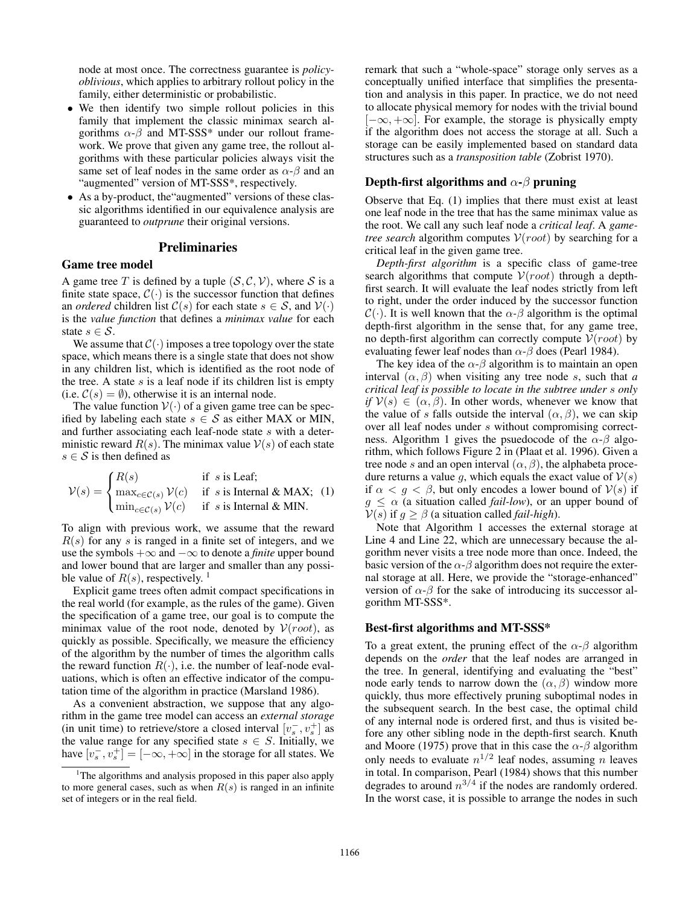node at most once. The correctness guarantee is *policyoblivious*, which applies to arbitrary rollout policy in the family, either deterministic or probabilistic.

- We then identify two simple rollout policies in this family that implement the classic minimax search algorithms  $\alpha$ - $\beta$  and MT-SSS\* under our rollout framework. We prove that given any game tree, the rollout algorithms with these particular policies always visit the same set of leaf nodes in the same order as  $\alpha$ - $\beta$  and an "augmented" version of MT-SSS\*, respectively.
- As a by-product, the"augmented" versions of these classic algorithms identified in our equivalence analysis are guaranteed to *outprune* their original versions.

#### Preliminaries

#### Game tree model

A game tree T is defined by a tuple  $(S, \mathcal{C}, \mathcal{V})$ , where S is a finite state space,  $C(\cdot)$  is the successor function that defines an *ordered* children list  $C(s)$  for each state  $s \in S$ , and  $V(\cdot)$ is the *value function* that defines a *minimax value* for each state  $s \in \mathcal{S}$ .

We assume that  $C(\cdot)$  imposes a tree topology over the state space, which means there is a single state that does not show in any children list, which is identified as the root node of the tree. A state  $s$  is a leaf node if its children list is empty (i.e.  $C(s) = \emptyset$ ), otherwise it is an internal node.

The value function  $V(\cdot)$  of a given game tree can be specified by labeling each state  $s \in S$  as either MAX or MIN, and further associating each leaf-node state s with a deterministic reward  $R(s)$ . The minimax value  $V(s)$  of each state  $s \in S$  is then defined as

$$
\mathcal{V}(s) = \begin{cases} R(s) & \text{if } s \text{ is leaf;} \\ \max_{c \in \mathcal{C}(s)} \mathcal{V}(c) & \text{if } s \text{ is Internal & MAX; (1) \\ \min_{c \in \mathcal{C}(s)} \mathcal{V}(c) & \text{if } s \text{ is Internal & MIN.} \end{cases}
$$

To align with previous work, we assume that the reward  $R(s)$  for any s is ranged in a finite set of integers, and we use the symbols +∞ and −∞ to denote a *finite* upper bound and lower bound that are larger and smaller than any possible value of  $R(s)$ , respectively.<sup>1</sup>

Explicit game trees often admit compact specifications in the real world (for example, as the rules of the game). Given the specification of a game tree, our goal is to compute the minimax value of the root node, denoted by  $V(root)$ , as quickly as possible. Specifically, we measure the efficiency of the algorithm by the number of times the algorithm calls the reward function  $R(\cdot)$ , i.e. the number of leaf-node evaluations, which is often an effective indicator of the computation time of the algorithm in practice (Marsland 1986).

As a convenient abstraction, we suppose that any algorithm in the game tree model can access an *external storage* (in unit time) to retrieve/store a closed interval  $[v_s^-, v_s^+]$  as the value range for any specified state  $s \in S$ . Initially, we have  $[v_s^-, v_s^+] = [-\infty, +\infty]$  in the storage for all states. We

remark that such a "whole-space" storage only serves as a conceptually unified interface that simplifies the presentation and analysis in this paper. In practice, we do not need to allocate physical memory for nodes with the trivial bound  $[-\infty, +\infty]$ . For example, the storage is physically empty if the algorithm does not access the storage at all. Such a storage can be easily implemented based on standard data structures such as a *transposition table* (Zobrist 1970).

#### Depth-first algorithms and  $\alpha$ - $\beta$  pruning

Observe that Eq. (1) implies that there must exist at least one leaf node in the tree that has the same minimax value as the root. We call any such leaf node a *critical leaf*. A *gametree search* algorithm computes  $V(root)$  by searching for a critical leaf in the given game tree.

*Depth-first algorithm* is a specific class of game-tree search algorithms that compute  $V(root)$  through a depthfirst search. It will evaluate the leaf nodes strictly from left to right, under the order induced by the successor function  $C(\cdot)$ . It is well known that the  $\alpha$ - $\beta$  algorithm is the optimal depth-first algorithm in the sense that, for any game tree, no depth-first algorithm can correctly compute  $V(root)$  by evaluating fewer leaf nodes than  $\alpha$ - $\beta$  does (Pearl 1984).

The key idea of the  $\alpha$ - $\beta$  algorithm is to maintain an open interval  $(\alpha, \beta)$  when visiting any tree node s, such that *a critical leaf is possible to locate in the subtree under* s *only if*  $V(s) \in (\alpha, \beta)$ . In other words, whenever we know that the value of s falls outside the interval  $(\alpha, \beta)$ , we can skip over all leaf nodes under s without compromising correctness. Algorithm 1 gives the psuedocode of the  $\alpha$ - $\beta$  algorithm, which follows Figure 2 in (Plaat et al. 1996). Given a tree node s and an open interval  $(\alpha, \beta)$ , the alphabeta procedure returns a value g, which equals the exact value of  $V(s)$ if  $\alpha < g < \beta$ , but only encodes a lower bound of  $V(s)$  if  $g \leq \alpha$  (a situation called *fail-low*), or an upper bound of  $V(s)$  if  $g \ge \beta$  (a situation called *fail-high*).

Note that Algorithm 1 accesses the external storage at Line 4 and Line 22, which are unnecessary because the algorithm never visits a tree node more than once. Indeed, the basic version of the  $\alpha$ - $\beta$  algorithm does not require the external storage at all. Here, we provide the "storage-enhanced" version of  $\alpha$ - $\beta$  for the sake of introducing its successor algorithm MT-SSS\*.

#### Best-first algorithms and MT-SSS\*

To a great extent, the pruning effect of the  $\alpha$ - $\beta$  algorithm depends on the *order* that the leaf nodes are arranged in the tree. In general, identifying and evaluating the "best" node early tends to narrow down the  $(\alpha, \beta)$  window more quickly, thus more effectively pruning suboptimal nodes in the subsequent search. In the best case, the optimal child of any internal node is ordered first, and thus is visited before any other sibling node in the depth-first search. Knuth and Moore (1975) prove that in this case the  $\alpha$ - $\beta$  algorithm only needs to evaluate  $n^{1/2}$  leaf nodes, assuming n leaves in total. In comparison, Pearl (1984) shows that this number degrades to around  $n^{3/4}$  if the nodes are randomly ordered. In the worst case, it is possible to arrange the nodes in such

<sup>&</sup>lt;sup>1</sup>The algorithms and analysis proposed in this paper also apply to more general cases, such as when  $R(s)$  is ranged in an infinite set of integers or in the real field.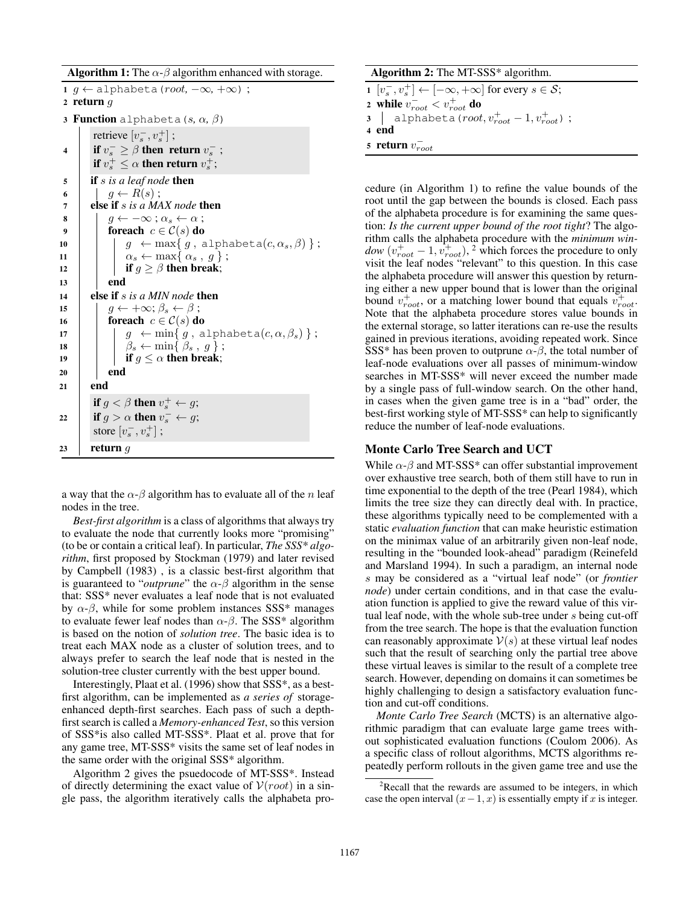**Algorithm 1:** The  $\alpha$ - $\beta$  algorithm enhanced with storage.

|                | 1 $g \leftarrow$ alphabeta ( <i>root</i> , $-\infty$ , $+\infty$ ) ;<br>2 return $q$ |
|----------------|--------------------------------------------------------------------------------------|
|                |                                                                                      |
|                | 3 Function alphabeta $(s, \alpha, \beta)$                                            |
|                | retrieve $[v_s^-, v_s^+]$ ;                                                          |
| 4              | if $v_s^- \geq \beta$ then return $v_s^-$ ;                                          |
|                | if $v_s^+ \leq \alpha$ then return $v_s^+$ ;                                         |
|                | <b>if</b> $s$ is a leaf node <b>then</b>                                             |
| 5<br>6         | $g \leftarrow R(s)$ ;                                                                |
| $\overline{7}$ | else if s is a MAX node then                                                         |
|                |                                                                                      |
| 8              | $q \leftarrow -\infty$ ; $\alpha_s \leftarrow \alpha$ ;                              |
| 9              | foreach $c \in \mathcal{C}(s)$ do                                                    |
| 10             | $g \leftarrow \max\{ g, \text{ alphabeta}(c, \alpha_s, \beta) \};$                   |
| 11             | $\alpha_s \leftarrow \max\{\alpha_s, g\};$                                           |
| 12             | if $g \geq \beta$ then break;                                                        |
| 13             | end                                                                                  |
| 14             | else if s is a MIN node then                                                         |
| 15             | $q \leftarrow +\infty; \beta_s \leftarrow \beta;$                                    |
| 16             | foreach $c \in \mathcal{C}(s)$ do                                                    |
| 17             | $g \leftarrow \min\{ g, \text{ alphabeta}(c, \alpha, \beta_s) \};$                   |
| 18             | $\beta_s \leftarrow \min\{\beta_s, g\};$                                             |
| 19             | if $g \leq \alpha$ then break;                                                       |
| 20             | end                                                                                  |
| 21             | end                                                                                  |
|                | <b>if</b> $g < \beta$ then $v_s^+ \leftarrow g$ ;                                    |
| 22             | if $g > \alpha$ then $v_s^- \leftarrow g$ ;                                          |
|                | store $[v_{s}^{-}, v_{s}^{+}]$ ;                                                     |
|                |                                                                                      |
| 23             | return $q$                                                                           |

a way that the  $\alpha$ - $\beta$  algorithm has to evaluate all of the n leaf nodes in the tree.

*Best-first algorithm* is a class of algorithms that always try to evaluate the node that currently looks more "promising" (to be or contain a critical leaf). In particular, *The SSS\* algorithm*, first proposed by Stockman (1979) and later revised by Campbell (1983) , is a classic best-first algorithm that is guaranteed to "*outprune*" the  $\alpha$ - $\beta$  algorithm in the sense that: SSS\* never evaluates a leaf node that is not evaluated by  $\alpha$ - $\beta$ , while for some problem instances SSS\* manages to evaluate fewer leaf nodes than  $\alpha$ - $\beta$ . The SSS\* algorithm is based on the notion of *solution tree*. The basic idea is to treat each MAX node as a cluster of solution trees, and to always prefer to search the leaf node that is nested in the solution-tree cluster currently with the best upper bound.

Interestingly, Plaat et al. (1996) show that SSS\*, as a bestfirst algorithm, can be implemented as *a series of* storageenhanced depth-first searches. Each pass of such a depthfirst search is called a *Memory-enhanced Test*, so this version of SSS\*is also called MT-SSS\*. Plaat et al. prove that for any game tree, MT-SSS\* visits the same set of leaf nodes in the same order with the original SSS\* algorithm.

Algorithm 2 gives the psuedocode of MT-SSS\*. Instead of directly determining the exact value of  $V(root)$  in a single pass, the algorithm iteratively calls the alphabeta pro-

| Algorithm 2: The MT-SSS $*$ algorithm. |                                                                                 |  |
|----------------------------------------|---------------------------------------------------------------------------------|--|
|                                        | $1[v_s^-, v_s^+] \leftarrow [-\infty, +\infty]$ for every $s \in \mathcal{S}$ ; |  |
|                                        | 2 while $v_{root}^- < v_{root}^+$ do                                            |  |
|                                        | 3   alphabeta ( $root, v_{root}^+ - 1, v_{root}^+$ );                           |  |
|                                        | 4 end                                                                           |  |
|                                        | 5 return $v_{root}^-$                                                           |  |

cedure (in Algorithm 1) to refine the value bounds of the root until the gap between the bounds is closed. Each pass of the alphabeta procedure is for examining the same question: *Is the current upper bound of the root tight*? The algorithm calls the alphabeta procedure with the *minimum win* $dow(v_{root}^+ - 1, v_{root}^+),$ <sup>2</sup> which forces the procedure to only visit the leaf nodes "relevant" to this question. In this case the alphabeta procedure will answer this question by returning either a new upper bound that is lower than the original bound  $v_{root}^+$ , or a matching lower bound that equals  $v_{root}^+$ . Note that the alphabeta procedure stores value bounds in the external storage, so latter iterations can re-use the results gained in previous iterations, avoiding repeated work. Since SSS\* has been proven to outprune  $\alpha$ - $\beta$ , the total number of leaf-node evaluations over all passes of minimum-window searches in MT-SSS\* will never exceed the number made by a single pass of full-window search. On the other hand, in cases when the given game tree is in a "bad" order, the best-first working style of MT-SSS\* can help to significantly reduce the number of leaf-node evaluations.

# Monte Carlo Tree Search and UCT

While  $\alpha$ - $\beta$  and MT-SSS\* can offer substantial improvement over exhaustive tree search, both of them still have to run in time exponential to the depth of the tree (Pearl 1984), which limits the tree size they can directly deal with. In practice, these algorithms typically need to be complemented with a static *evaluation function* that can make heuristic estimation on the minimax value of an arbitrarily given non-leaf node, resulting in the "bounded look-ahead" paradigm (Reinefeld and Marsland 1994). In such a paradigm, an internal node s may be considered as a "virtual leaf node" (or *frontier node*) under certain conditions, and in that case the evaluation function is applied to give the reward value of this virtual leaf node, with the whole sub-tree under s being cut-off from the tree search. The hope is that the evaluation function can reasonably approximate  $V(s)$  at these virtual leaf nodes such that the result of searching only the partial tree above these virtual leaves is similar to the result of a complete tree search. However, depending on domains it can sometimes be highly challenging to design a satisfactory evaluation function and cut-off conditions.

*Monte Carlo Tree Search* (MCTS) is an alternative algorithmic paradigm that can evaluate large game trees without sophisticated evaluation functions (Coulom 2006). As a specific class of rollout algorithms, MCTS algorithms repeatedly perform rollouts in the given game tree and use the

<sup>&</sup>lt;sup>2</sup>Recall that the rewards are assumed to be integers, in which case the open interval  $(x-1, x)$  is essentially empty if x is integer.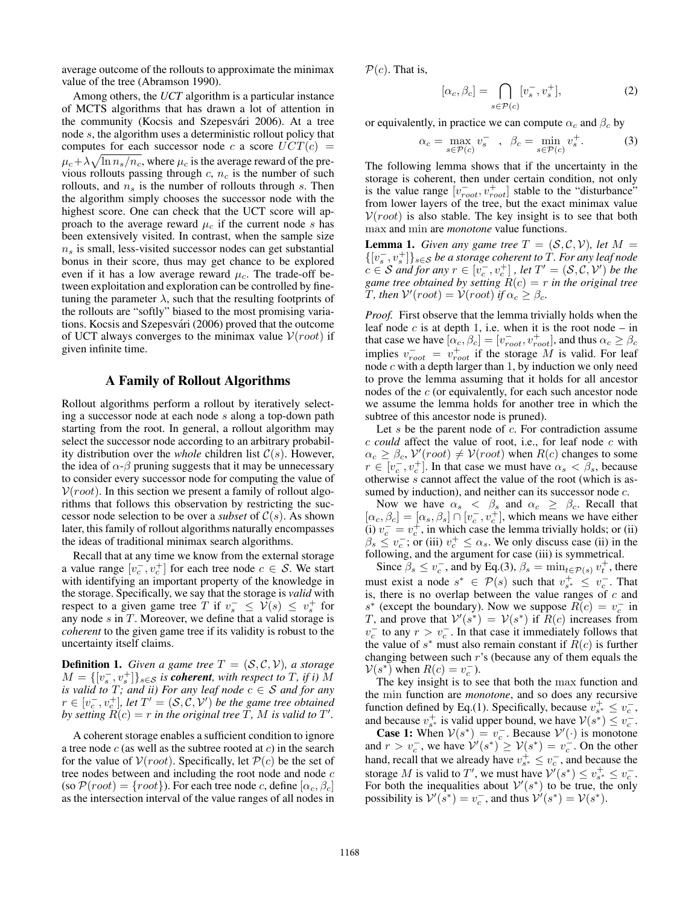average outcome of the rollouts to approximate the minimax value of the tree (Abramson 1990).

Among others, the *UCT* algorithm is a particular instance of MCTS algorithms that has drawn a lot of attention in the community (Kocsis and Szepesvári 2006). At a tree node s, the algorithm uses a deterministic rollout policy that computes for each successor node c a score  $UCT(c)$  =  $\mu_c + \lambda \sqrt{\ln n_s/n_c}$ , where  $\mu_c$  is the average reward of the previous rollouts passing through  $c, n_c$  is the number of such rollouts, and  $n<sub>s</sub>$  is the number of rollouts through s. Then the algorithm simply chooses the successor node with the highest score. One can check that the UCT score will approach to the average reward  $\mu_c$  if the current node s has been extensively visited. In contrast, when the sample size  $n<sub>s</sub>$  is small, less-visited successor nodes can get substantial bonus in their score, thus may get chance to be explored even if it has a low average reward  $\mu_c$ . The trade-off between exploitation and exploration can be controlled by finetuning the parameter  $\lambda$ , such that the resulting footprints of the rollouts are "softly" biased to the most promising variations. Kocsis and Szepesvári (2006) proved that the outcome of UCT always converges to the minimax value  $V(root)$  if given infinite time.

### A Family of Rollout Algorithms

Rollout algorithms perform a rollout by iteratively selecting a successor node at each node s along a top-down path starting from the root. In general, a rollout algorithm may select the successor node according to an arbitrary probability distribution over the *whole* children list  $C(s)$ . However, the idea of  $\alpha$ - $\beta$  pruning suggests that it may be unnecessary to consider every successor node for computing the value of  $V(root)$ . In this section we present a family of rollout algorithms that follows this observation by restricting the successor node selection to be over a *subset* of  $C(s)$ . As shown later, this family of rollout algorithms naturally encompasses the ideas of traditional minimax search algorithms.

Recall that at any time we know from the external storage a value range  $[v_c^-, v_c^+]$  for each tree node  $c \in S$ . We start with identifying an important property of the knowledge in the storage. Specifically, we say that the storage is *valid* with respect to a given game tree T if  $v_s^- \leq V(s) \leq v_s^+$  for any node  $s$  in  $T$ . Moreover, we define that a valid storage is *coherent* to the given game tree if its validity is robust to the uncertainty itself claims.

**Definition 1.** *Given a game tree*  $T = (S, C, V)$ *, a storage*  $M = \{ [v_s^-, v_s^+] \}_{s \in \mathcal{S}}$  *is coherent*, with respect to T, if i) M *is valid to*  $T$ *; and ii) For any leaf node*  $c \in S$  *and for any*  $r \in [v_c^-, v_c^+]$ , let  $T' = (\mathcal{S}, \mathcal{C}, \mathcal{V}')$  be the game tree obtained *by setting*  $\overline{R}(c) = r$  *in the original tree*  $\overline{T}$ *, M is valid to*  $T'$ *.* 

A coherent storage enables a sufficient condition to ignore a tree node  $c$  (as well as the subtree rooted at  $c$ ) in the search for the value of  $V(root)$ . Specifically, let  $P(c)$  be the set of tree nodes between and including the root node and node  $c$ (so  $\mathcal{P}(\text{root}) = \{\text{root}\}\)$ ). For each tree node c, define  $[\alpha_c, \beta_c]$ as the intersection interval of the value ranges of all nodes in

 $\mathcal{P}(c)$ . That is,

$$
[\alpha_c, \beta_c] = \bigcap_{s \in \mathcal{P}(c)} [v_s^-, v_s^+],\tag{2}
$$

or equivalently, in practice we can compute  $\alpha_c$  and  $\beta_c$  by

$$
\alpha_c = \max_{s \in \mathcal{P}(c)} v_s^- \quad , \quad \beta_c = \min_{s \in \mathcal{P}(c)} v_s^+ \tag{3}
$$

The following lemma shows that if the uncertainty in the storage is coherent, then under certain condition, not only is the value range  $[v_{root}^-, v_{root}^+]$  stable to the "disturbance" from lower layers of the tree, but the exact minimax value  $V(root)$  is also stable. The key insight is to see that both max and min are *monotone* value functions.

**Lemma 1.** *Given any game tree*  $T = (S, C, V)$ *, let*  $M =$  $\{[v_s^-, v_s^+]\}_{s \in \mathcal{S}}$  *be a storage coherent to*  $\hat{T}$ *. For any leaf node*  $c \in S$  *and for any*  $r \in [v_c^-, v_c^+]$ , let  $T' = (S, C, V')$  *be the game tree obtained by setting*  $R(c) = r$  *in the original tree* T, then  $V'(root) = V(root)$  *if*  $\alpha_c \geq \beta_c$ .

*Proof.* First observe that the lemma trivially holds when the leaf node  $c$  is at depth 1, i.e. when it is the root node – in that case we have  $[\alpha_c, \beta_c] = [v_{root}^-, v_{root}^+]$ , and thus  $\alpha_c \ge \beta_c$ implies  $v_{root}^- = v_{root}^+$  if the storage M is valid. For leaf node  $c$  with a depth larger than 1, by induction we only need to prove the lemma assuming that it holds for all ancestor nodes of the c (or equivalently, for each such ancestor node we assume the lemma holds for another tree in which the subtree of this ancestor node is pruned).

Let  $s$  be the parent node of  $c$ . For contradiction assume c *could* affect the value of root, i.e., for leaf node c with  $\alpha_c \ge \beta_c$ ,  $V(root) \ne V(root)$  when  $R(c)$  changes to some  $r \in [v_c^-, v_c^+]$ . In that case we must have  $\alpha_s < \beta_s$ , because otherwise s cannot affect the value of the root (which is assumed by induction), and neither can its successor node  $c$ .

Now we have  $\alpha_s$   $\langle \beta_s \rangle$  and  $\alpha_c \geq \beta_c$ . Recall that  $[\alpha_c, \beta_c] = [\alpha_s, \beta_s] \cap [v_c^-, v_c^+]$ , which means we have either (i)  $v_c^- = v_c^+$ , in which case the lemma trivially holds; or (ii)  $\beta_s \le v_c^-$ ; or (iii)  $v_c^+ \le \alpha_s$ . We only discuss case (ii) in the following, and the argument for case (iii) is symmetrical.

Since  $\beta_s \le v_c^-$ , and by Eq.(3),  $\beta_s = \min_{t \in \mathcal{P}(s)} v_t^+$ , there must exist a node  $s^* \in \mathcal{P}(s)$  such that  $v_{s^*}^+ \leq v_c^-$ . That is, there is no overlap between the value ranges of  $c$  and s<sup>\*</sup> (except the boundary). Now we suppose  $R(c) = v_c^-$  in T, and prove that  $V'(s^*) = V(s^*)$  if  $R(c)$  increases from  $v_c^-$  to any  $r > v_c^-$ . In that case it immediately follows that the value of  $s^*$  must also remain constant if  $R(c)$  is further changing between such r's (because any of them equals the  $V(s^*)$  when  $R(c) = v_c^-$ ).

The key insight is to see that both the max function and the min function are *monotone*, and so does any recursive function defined by Eq.(1). Specifically, because  $v_{s^*}^+ \leq v_c^-$ , and because  $v_{s^*}^+$  is valid upper bound, we have  $V(s^*) \le v_c^-$ .

**Case 1:** When  $V(s^*) = v_c^-$ . Because  $V'(\cdot)$  is monotone and  $r > v_c^-$ , we have  $\mathcal{V}'(s^*) \geq \mathcal{V}(s^*) = v_c^-$ . On the other hand, recall that we already have  $v_{s^*}^+ \leq v_c^-$ , and because the storage M is valid to T', we must have  $\mathcal{V}^{\prime}(s^*) \leq v_{s^*}^+ \leq v_c^-$ . For both the inequalities about  $V'(s^*)$  to be true, the only possibility is  $\mathcal{V}'(\hat{s}^*) = v_c^-$ , and thus  $\mathcal{V}'(s^*) = \mathcal{V}(s^*)$ .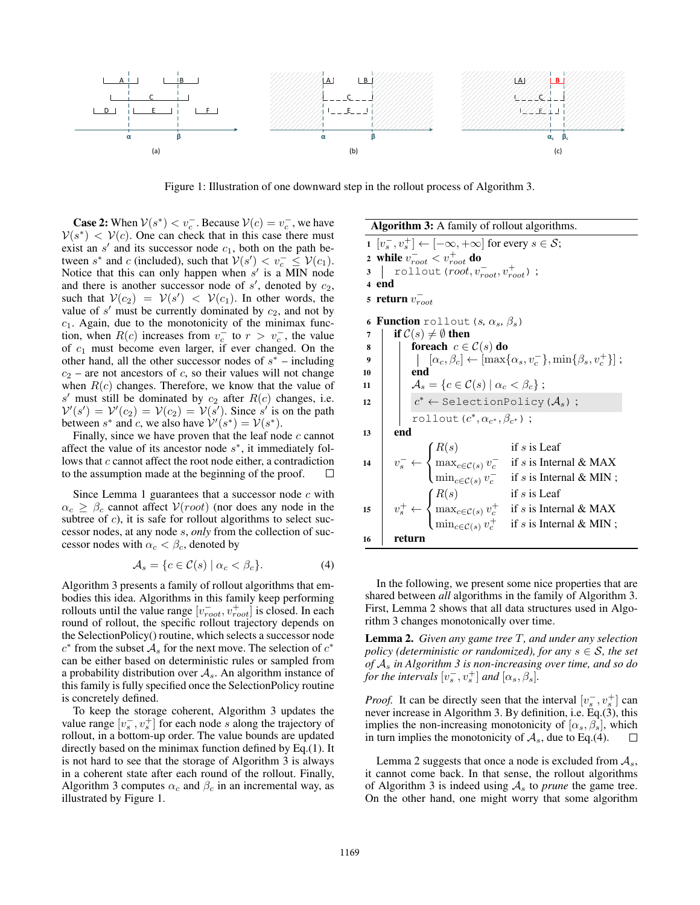

Figure 1: Illustration of one downward step in the rollout process of Algorithm 3.

**Case 2:** When  $V(s^*) < v_c^-$ . Because  $V(c) = v_c^-$ , we have  $V(s^*) < V(c)$ . One can check that in this case there must exist an  $s'$  and its successor node  $c_1$ , both on the path between  $s^*$  and c (included), such that  $V(s') < v_c^- \leq V(c_1)$ . Notice that this can only happen when  $s'$  is a MIN node and there is another successor node of  $s'$ , denoted by  $c_2$ , such that  $V(c_2) = V(s') < V(c_1)$ . In other words, the value of  $s'$  must be currently dominated by  $c_2$ , and not by  $c_1$ . Again, due to the monotonicity of the minimax function, when  $R(c)$  increases from  $v_c^-$  to  $r > v_c^-$ , the value of  $c_1$  must become even larger, if ever changed. On the other hand, all the other successor nodes of  $s^*$  – including  $c_2$  – are not ancestors of c, so their values will not change when  $R(c)$  changes. Therefore, we know that the value of  $s'$  must still be dominated by  $c_2$  after  $R(c)$  changes, i.e.  $V'(s') = V'(c_2) = V(c_2) = V(s')$ . Since s' is on the path between  $s^*$  and c, we also have  $\mathcal{V}'(s^*) = \mathcal{V}(s^*)$ .

Finally, since we have proven that the leaf node  $c$  cannot affect the value of its ancestor node  $s^*$ , it immediately follows that c cannot affect the root node either, a contradiction to the assumption made at the beginning of the proof.  $\Box$ 

Since Lemma 1 guarantees that a successor node  $c$  with  $\alpha_c \geq \beta_c$  cannot affect  $V(root)$  (nor does any node in the subtree of  $c$ ), it is safe for rollout algorithms to select successor nodes, at any node s, *only* from the collection of successor nodes with  $\alpha_c < \beta_c$ , denoted by

$$
\mathcal{A}_s = \{c \in \mathcal{C}(s) \mid \alpha_c < \beta_c\}. \tag{4}
$$

Algorithm 3 presents a family of rollout algorithms that embodies this idea. Algorithms in this family keep performing rollouts until the value range  $[v_{root}^-, v_{root}^+]$  is closed. In each round of rollout, the specific rollout trajectory depends on the SelectionPolicy() routine, which selects a successor node  $c^*$  from the subset  $\mathcal{A}_s$  for the next move. The selection of  $c^*$ can be either based on deterministic rules or sampled from a probability distribution over  $A_s$ . An algorithm instance of this family is fully specified once the SelectionPolicy routine is concretely defined.

To keep the storage coherent, Algorithm 3 updates the value range  $[v_s^-, v_s^+]$  for each node s along the trajectory of rollout, in a bottom-up order. The value bounds are updated directly based on the minimax function defined by Eq.(1). It is not hard to see that the storage of Algorithm 3 is always in a coherent state after each round of the rollout. Finally, Algorithm 3 computes  $\alpha_c$  and  $\beta_c$  in an incremental way, as illustrated by Figure 1.

Algorithm 3: A family of rollout algorithms.

1  $[v_s^-, v_s^+] \leftarrow [-\infty, +\infty]$  for every  $s \in \mathcal{S}$ ; 2 while  $v_{root}^- < v_{root}^+$  do 3 | rollout(root,  $v_{root}^-, v_{root}^+$ ); <sup>4</sup> end 5 return  $v_{root}^-$ 6 Function rollout  $(s, \alpha_s, \beta_s)$ 7 | if  $C(s) \neq \emptyset$  then 8 **for each**  $c \in \mathcal{C}(s)$  do  $\quad \ \ \, \mathsf{9} \quad \ \ \, \mid \quad \ \ \, \mid \quad \left[ \alpha_c, \beta_c \right] \leftarrow \left[ \max\{ \alpha_s, v_c^{-} \}, \min\{ \beta_s, v_c^{+} \} \right];$ 10 **end** 11  $\mathcal{A}_s = \{c \in \mathcal{C}(s) \mid \alpha_c < \beta_c\};$ 12  $c^* \leftarrow$  SelectionPolicy ( $\mathcal{A}_s$ ); rollout  $(c^*, \alpha_{c^*}, \beta_{c^*})$ ; <sup>13</sup> end 14  $v_s^- \leftarrow$  $\sqrt{ }$ J  $\mathcal{L}$  $R(s)$  if s is Leaf  $\max_{c \in \mathcal{C}(s)} v_c^-$  if s is Internal & MAX  $\min_{c \in \mathcal{C}(s)} v_c^-$  if s is Internal & MIN; 15  $v_s^+ \leftarrow$  $\sqrt{ }$ J  $\mathcal{L}$  $R(s)$  if s is Leaf  $\max_{c \in \mathcal{C}(s)} v_c^+$  if s is Internal & MAX  $\min_{c \in \mathcal{C}(s)} v_c^+$  if s is Internal & MIN; <sup>16</sup> return

In the following, we present some nice properties that are shared between *all* algorithms in the family of Algorithm 3. First, Lemma 2 shows that all data structures used in Algorithm 3 changes monotonically over time.

Lemma 2. *Given any game tree* T*, and under any selection policy (deterministic or randomized), for any*  $s \in S$ *, the set of* A<sup>s</sup> *in Algorithm 3 is non-increasing over time, and so do for the intervals*  $[v_s^-, v_s^+]$  *and*  $[\alpha_s, \beta_s]$ *.* 

*Proof.* It can be directly seen that the interval  $[v_s^-, v_s^+]$  can never increase in Algorithm 3. By definition, i.e. Eq.(3), this implies the non-increasing monotonicity of  $[\alpha_s, \beta_s]$ , which in turn implies the monotonicity of  $A_s$ , due to Eq.(4).  $\Box$ 

Lemma 2 suggests that once a node is excluded from  $A_s$ , it cannot come back. In that sense, the rollout algorithms of Algorithm 3 is indeed using  $A<sub>s</sub>$  to *prune* the game tree. On the other hand, one might worry that some algorithm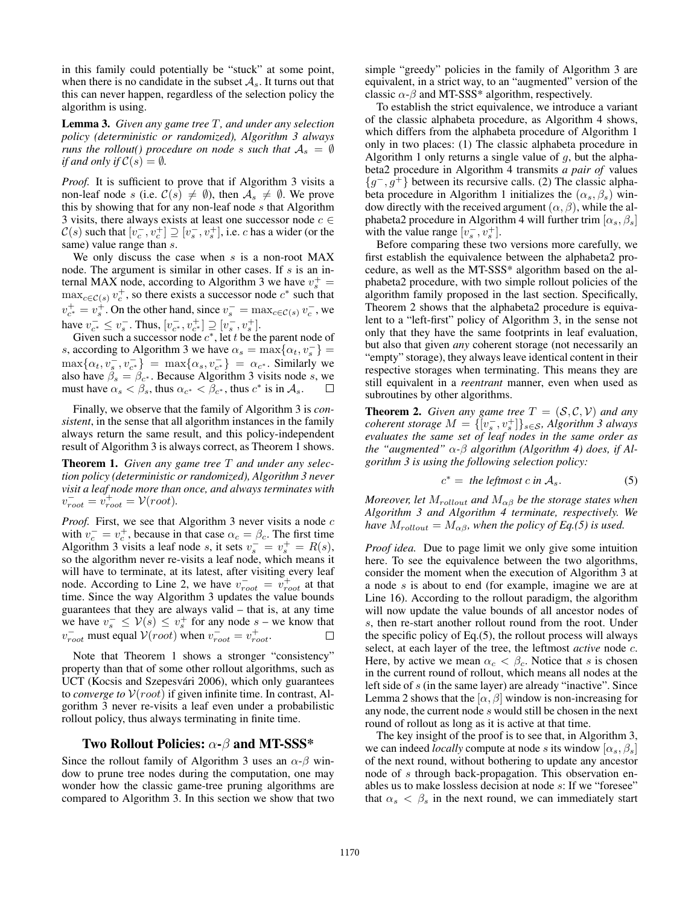in this family could potentially be "stuck" at some point, when there is no candidate in the subset  $A_s$ . It turns out that this can never happen, regardless of the selection policy the algorithm is using.

Lemma 3. *Given any game tree* T*, and under any selection policy (deterministic or randomized), Algorithm 3 always runs the rollout() procedure on node* s *such that*  $A_s = \emptyset$ *if and only if*  $C(s) = \emptyset$ *.* 

*Proof.* It is sufficient to prove that if Algorithm 3 visits a non-leaf node s (i.e.  $C(s) \neq \emptyset$ ), then  $A_s \neq \emptyset$ . We prove this by showing that for any non-leaf node  $s$  that Algorithm 3 visits, there always exists at least one successor node  $c \in$  $\mathcal{C}(s)$  such that  $[v_c^-, v_c^+] \supseteq [v_s^-, v_s^+]$ , i.e. *c* has a wider (or the same) value range than  $s$ .

We only discuss the case when  $s$  is a non-root MAX node. The argument is similar in other cases. If  $s$  is an internal MAX node, according to Algorithm 3 we have  $v_s^+$  =  $\max_{c \in \mathcal{C}(s)} v_c^+$ , so there exists a successor node  $c^*$  such that  $v_{c^*}^+ = v_s^+$ . On the other hand, since  $v_s^- = \max_{c \in \mathcal{C}(s)} v_c^-$ , we have  $v_{c^*}^- \le v_s^-$ . Thus,  $[v_{c^*}^-, v_{c^*}^+] \supseteq [v_s^-, v_s^+]$ .

Given such a successor node  $c^*$ , let t be the parent node of s, according to Algorithm 3 we have  $\alpha_s = \max{\{\alpha_t, v_s^-\}}$  $\max\{\alpha_t, v_s^-, v_{c^*}^-\} = \max\{\alpha_s, v_{c^*}^-\} = \alpha_{c^*}.$  Similarly we also have  $\beta_s = \beta_{c^*}$ . Because Algorithm 3 visits node s, we must have  $\alpha_s < \beta_s$ , thus  $\alpha_{c^*} < \overline{\beta_{c^*}}$ , thus  $c^*$  is in  $\mathcal{A}_s$ .  $\Box$ 

Finally, we observe that the family of Algorithm 3 is *consistent*, in the sense that all algorithm instances in the family always return the same result, and this policy-independent result of Algorithm 3 is always correct, as Theorem 1 shows.

Theorem 1. *Given any game tree* T *and under any selection policy (deterministic or randomized), Algorithm 3 never visit a leaf node more than once, and always terminates with*  $v_{root}^- = v_{root}^+ = \mathcal{V}(root).$ 

*Proof.* First, we see that Algorithm 3 never visits a node c with  $v_c^+ = v_c^+$ , because in that case  $\alpha_c = \beta_c$ . The first time Algorithm 3 visits a leaf node s, it sets  $v_s^- = v_s^+ = R(s)$ , so the algorithm never re-visits a leaf node, which means it will have to terminate, at its latest, after visiting every leaf node. According to Line 2, we have  $v_{root}^- = v_{root}^+$  at that time. Since the way Algorithm 3 updates the value bounds guarantees that they are always valid – that is, at any time we have  $v_s^- \le V(s) \le v_s^+$  for any node  $s$  – we know that  $v_{root}^-$  must equal  $V(root)$  when  $v_{root}^- = v_{root}^+$ .

Note that Theorem 1 shows a stronger "consistency" property than that of some other rollout algorithms, such as UCT (Kocsis and Szepesvári 2006), which only guarantees to *converge to*  $V(root)$  if given infinite time. In contrast, Algorithm 3 never re-visits a leaf even under a probabilistic rollout policy, thus always terminating in finite time.

#### Two Rollout Policies:  $\alpha$ - $\beta$  and MT-SSS\*

Since the rollout family of Algorithm 3 uses an  $\alpha$ - $\beta$  window to prune tree nodes during the computation, one may wonder how the classic game-tree pruning algorithms are compared to Algorithm 3. In this section we show that two

simple "greedy" policies in the family of Algorithm 3 are equivalent, in a strict way, to an "augmented" version of the classic  $\alpha$ - $\beta$  and MT-SSS\* algorithm, respectively.

To establish the strict equivalence, we introduce a variant of the classic alphabeta procedure, as Algorithm 4 shows, which differs from the alphabeta procedure of Algorithm 1 only in two places: (1) The classic alphabeta procedure in Algorithm 1 only returns a single value of  $q$ , but the alphabeta2 procedure in Algorithm 4 transmits *a pair of* values  ${g^-}, g^+$ } between its recursive calls. (2) The classic alphabeta procedure in Algorithm 1 initializes the  $(\alpha_s, \beta_s)$  window directly with the received argument  $(\alpha, \beta)$ , while the alphabeta2 procedure in Algorithm 4 will further trim  $[\alpha_s, \beta_s]$ with the value range  $[v_s^-, v_s^+]$ .

Before comparing these two versions more carefully, we first establish the equivalence between the alphabeta2 procedure, as well as the MT-SSS\* algorithm based on the alphabeta2 procedure, with two simple rollout policies of the algorithm family proposed in the last section. Specifically, Theorem 2 shows that the alphabeta2 procedure is equivalent to a "left-first" policy of Algorithm 3, in the sense not only that they have the same footprints in leaf evaluation, but also that given *any* coherent storage (not necessarily an "empty" storage), they always leave identical content in their respective storages when terminating. This means they are still equivalent in a *reentrant* manner, even when used as subroutines by other algorithms.

**Theorem 2.** *Given any game tree*  $T = (S, C, V)$  *and any coherent storage*  $M = \{ [v_s^-, v_s^+] \}_{s \in S}$ *, Algorithm 3 always evaluates the same set of leaf nodes in the same order as the "augmented"* α*-*β *algorithm (Algorithm 4) does, if Algorithm 3 is using the following selection policy:*

$$
c^* = \text{ the leftmost } c \text{ in } \mathcal{A}_s. \tag{5}
$$

*Moreover, let*  $M_{\text{rollout}}$  *and*  $M_{\alpha\beta}$  *be the storage states when Algorithm 3 and Algorithm 4 terminate, respectively. We have*  $M_{rollout} = M_{\alpha\beta}$ *, when the policy of Eq.(5) is used.* 

*Proof idea.* Due to page limit we only give some intuition here. To see the equivalence between the two algorithms, consider the moment when the execution of Algorithm 3 at a node s is about to end (for example, imagine we are at Line 16). According to the rollout paradigm, the algorithm will now update the value bounds of all ancestor nodes of s, then re-start another rollout round from the root. Under the specific policy of Eq.(5), the rollout process will always select, at each layer of the tree, the leftmost *active* node c. Here, by active we mean  $\alpha_c < \beta_c$ . Notice that s is chosen in the current round of rollout, which means all nodes at the left side of s (in the same layer) are already "inactive". Since Lemma 2 shows that the  $[\alpha, \beta]$  window is non-increasing for any node, the current node s would still be chosen in the next round of rollout as long as it is active at that time.

The key insight of the proof is to see that, in Algorithm 3, we can indeed *locally* compute at node s its window  $[\alpha_s, \beta_s]$ of the next round, without bothering to update any ancestor node of s through back-propagation. This observation enables us to make lossless decision at node s: If we "foresee" that  $\alpha_s < \beta_s$  in the next round, we can immediately start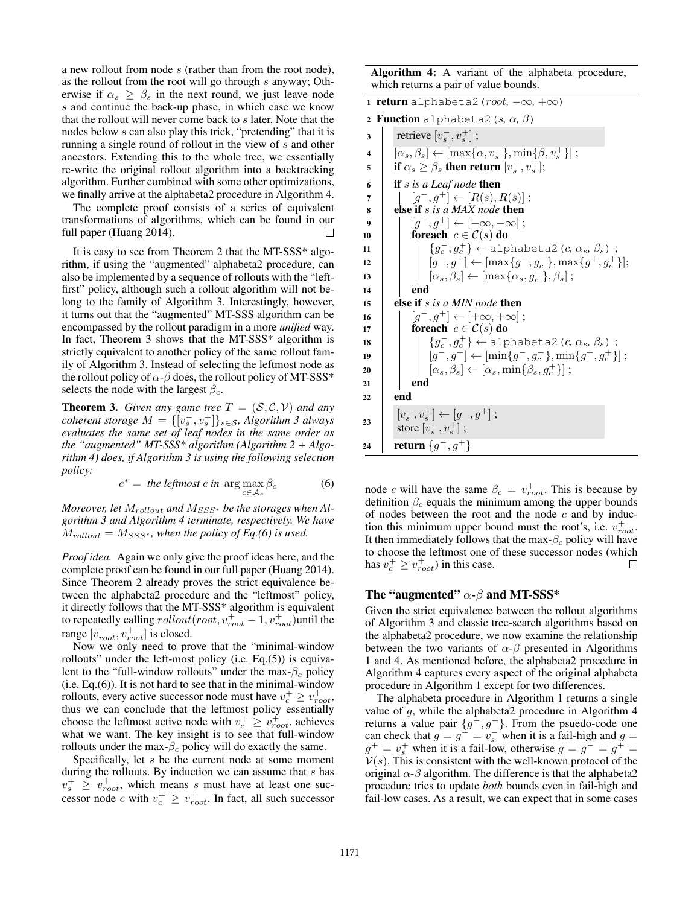a new rollout from node s (rather than from the root node), as the rollout from the root will go through s anyway; Otherwise if  $\alpha_s \geq \beta_s$  in the next round, we just leave node s and continue the back-up phase, in which case we know that the rollout will never come back to s later. Note that the nodes below s can also play this trick, "pretending" that it is running a single round of rollout in the view of s and other ancestors. Extending this to the whole tree, we essentially re-write the original rollout algorithm into a backtracking algorithm. Further combined with some other optimizations, we finally arrive at the alphabeta2 procedure in Algorithm 4.

The complete proof consists of a series of equivalent transformations of algorithms, which can be found in our full paper (Huang 2014).

It is easy to see from Theorem 2 that the MT-SSS\* algorithm, if using the "augmented" alphabeta2 procedure, can also be implemented by a sequence of rollouts with the "leftfirst" policy, although such a rollout algorithm will not belong to the family of Algorithm 3. Interestingly, however, it turns out that the "augmented" MT-SSS algorithm can be encompassed by the rollout paradigm in a more *unified* way. In fact, Theorem 3 shows that the MT-SSS\* algorithm is strictly equivalent to another policy of the same rollout family of Algorithm 3. Instead of selecting the leftmost node as the rollout policy of  $\alpha$ - $\beta$  does, the rollout policy of MT-SSS\* selects the node with the largest  $\beta_c$ .

**Theorem 3.** *Given any game tree*  $T = (S, C, V)$  *and any coherent storage*  $M = \{ [v_s^-, v_s^+] \}_{s \in S}$ *, Algorithm 3 always evaluates the same set of leaf nodes in the same order as the "augmented" MT-SSS\* algorithm (Algorithm 2 + Algorithm 4) does, if Algorithm 3 is using the following selection policy:*

$$
c^* = \text{the leftmost } c \text{ in } \arg \max_{c \in \mathcal{A}_s} \beta_c \tag{6}
$$

*Moreover, let*  $M_{rollout}$  *and*  $M_{SSS*}$  *be the storages when Algorithm 3 and Algorithm 4 terminate, respectively. We have*  $M_{rollout} = M_{SSS^*}$ , when the policy of Eq.(6) is used.

*Proof idea.* Again we only give the proof ideas here, and the complete proof can be found in our full paper (Huang 2014). Since Theorem 2 already proves the strict equivalence between the alphabeta2 procedure and the "leftmost" policy, it directly follows that the MT-SSS\* algorithm is equivalent to repeatedly calling  $\text{rollout}(\text{root}, v_{\text{root}}^+ - 1, v_{\text{root}}^+)$ until the range  $[v_{root}^-, v_{root}^+]$  is closed.

Now we only need to prove that the "minimal-window rollouts" under the left-most policy (i.e. Eq.(5)) is equivalent to the "full-window rollouts" under the max- $\beta_c$  policy (i.e. Eq.(6)). It is not hard to see that in the minimal-window rollouts, every active successor node must have  $v_c^+ \ge v_{root}^+$ , thus we can conclude that the leftmost policy essentially choose the leftmost active node with  $v_c^+ \geq v_{root}^+$  achieves what we want. The key insight is to see that full-window rollouts under the max- $\beta_c$  policy will do exactly the same.

Specifically, let s be the current node at some moment during the rollouts. By induction we can assume that  $s$  has  $v_s^+ \geq v_{root}^+$ , which means s must have at least one successor node c with  $v_c^+ \ge v_{root}^+$ . In fact, all such successor

Algorithm 4: A variant of the alphabeta procedure, which returns a pair of value bounds.

|                         | 1 <b>return</b> alphabeta2 ( <i>root</i> , $-\infty$ , $+\infty$ )              |
|-------------------------|---------------------------------------------------------------------------------|
|                         | <b>2 Function</b> alphabeta2 (s, $\alpha$ , $\beta$ )                           |
| 3                       | retrieve $[v_s^-, v_s^+]$ ;                                                     |
| $\overline{\mathbf{4}}$ | $[\alpha_s, \beta_s] \leftarrow [\max\{\alpha, v_s^-\}, \min\{\beta, v_s^+\}];$ |
| 5                       | <b>if</b> $\alpha_s \geq \beta_s$ then return $[v_s^-, v_s^+]$ ;                |
| 6                       | <b>if</b> $s$ is a Leaf node <b>then</b>                                        |
| 7                       | $[q^-, q^+] \leftarrow [R(s), R(s)]$ ;                                          |
| 8                       | else if s is a MAX node then                                                    |
| 9                       | $[g^-,g^+]\leftarrow [-\infty,-\infty]$ ;                                       |
| 10                      | foreach $c \in \mathcal{C}(s)$ do                                               |
| 11                      | ${g_c^-, g_c^+} \leftarrow$ alphabeta2 (c, $\alpha_s$ , $\beta_s$ );            |
| 12                      | $[g^-, g^+] \leftarrow [\max\{g^-, g_c^-\}, \max\{g^+, g_c^+\}];$               |
| 13                      | $[\alpha_s, \beta_s] \leftarrow [\max{\alpha_s, g_c^{-}}, \beta_s]$ ;           |
| 14                      | end                                                                             |
| 15                      | else if s is a MIN node then                                                    |
| 16                      | $[q^-,q^+]\leftarrow [+\infty,+\infty]$ ;                                       |
| 17                      | foreach $c \in \mathcal{C}(s)$ do                                               |
| 18                      | ${g_c^-, g_c^+} \leftarrow$ alphabeta2 (c, $\alpha_s$ , $\beta_s$ );            |
| 19                      | $[g^-, g^+] \leftarrow [\min\{g^-, g_c^-\}, \min\{g^+, g_c^+\}\]$ ;             |
| 20                      | $[\alpha_s, \beta_s] \leftarrow [\alpha_s, \min\{\beta_s, g_c^+\}];$            |
| 21                      | end                                                                             |
| 22                      | end                                                                             |
| 23                      | $[v_s^-, v_s^+] \leftarrow [g^-, g^+]$ ;<br>store $[v_s^-, v_s^+]$ ;            |
| 24                      | return $\{g^-,g^+\}$                                                            |

node c will have the same  $\beta_c = v_{root}^+$ . This is because by definition  $\beta_c$  equals the minimum among the upper bounds of nodes between the root and the node  $c$  and by induction this minimum upper bound must the root's, i.e.  $v_{root}^+$ . It then immediately follows that the max- $\beta_c$  policy will have to choose the leftmost one of these successor nodes (which has  $v_c^+ \ge v_{root}^+$ ) in this case.  $\Box$ 

### The "augmented"  $\alpha$ - $\beta$  and MT-SSS\*

Given the strict equivalence between the rollout algorithms of Algorithm 3 and classic tree-search algorithms based on the alphabeta2 procedure, we now examine the relationship between the two variants of  $\alpha$ - $\beta$  presented in Algorithms 1 and 4. As mentioned before, the alphabeta2 procedure in Algorithm 4 captures every aspect of the original alphabeta procedure in Algorithm 1 except for two differences.

The alphabeta procedure in Algorithm 1 returns a single value of  $g$ , while the alphabeta2 procedure in Algorithm 4 returns a value pair  $\{g^-, g^+\}$ . From the psuedo-code one can check that  $g = g^- = v_s^-$  when it is a fail-high and  $g =$  $g^+ = v_s^+$  when it is a fail-low, otherwise  $g = g^- = g^+ = g^ V(s)$ . This is consistent with the well-known protocol of the original  $\alpha$ - $\beta$  algorithm. The difference is that the alphabeta2 procedure tries to update *both* bounds even in fail-high and fail-low cases. As a result, we can expect that in some cases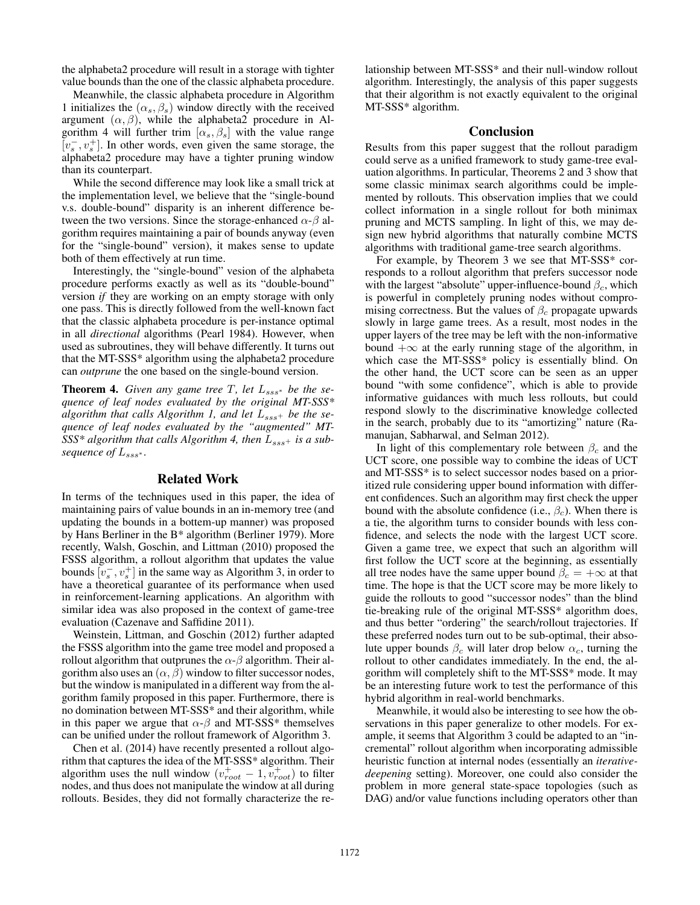the alphabeta2 procedure will result in a storage with tighter value bounds than the one of the classic alphabeta procedure.

Meanwhile, the classic alphabeta procedure in Algorithm 1 initializes the  $(\alpha_s, \beta_s)$  window directly with the received argument  $(\alpha, \beta)$ , while the alphabeta2 procedure in Algorithm 4 will further trim  $[\alpha_s, \beta_s]$  with the value range  $\left[v_s^-, v_s^+\right]$ . In other words, even given the same storage, the alphabeta2 procedure may have a tighter pruning window than its counterpart.

While the second difference may look like a small trick at the implementation level, we believe that the "single-bound v.s. double-bound" disparity is an inherent difference between the two versions. Since the storage-enhanced  $\alpha$ - $\beta$  algorithm requires maintaining a pair of bounds anyway (even for the "single-bound" version), it makes sense to update both of them effectively at run time.

Interestingly, the "single-bound" vesion of the alphabeta procedure performs exactly as well as its "double-bound" version *if* they are working on an empty storage with only one pass. This is directly followed from the well-known fact that the classic alphabeta procedure is per-instance optimal in all *directional* algorithms (Pearl 1984). However, when used as subroutines, they will behave differently. It turns out that the MT-SSS\* algorithm using the alphabeta2 procedure can *outprune* the one based on the single-bound version.

**Theorem 4.** *Given any game tree*  $T$ *, let*  $L_{sss}$ <sup>*, be the se-*</sup> *quence of leaf nodes evaluated by the original MT-SSS\** algorithm that calls Algorithm 1, and let  $L_{sss}$ + be the se*quence of leaf nodes evaluated by the "augmented" MT-*SSS\* algorithm that calls Algorithm 4, then  $L_{sss}$ + is a sub*sequence of*  $L$ <sub>sss</sub>∗.

### Related Work

In terms of the techniques used in this paper, the idea of maintaining pairs of value bounds in an in-memory tree (and updating the bounds in a bottem-up manner) was proposed by Hans Berliner in the B\* algorithm (Berliner 1979). More recently, Walsh, Goschin, and Littman (2010) proposed the FSSS algorithm, a rollout algorithm that updates the value bounds  $[v_s^-, v_s^+]$  in the same way as Algorithm 3, in order to have a theoretical guarantee of its performance when used in reinforcement-learning applications. An algorithm with similar idea was also proposed in the context of game-tree evaluation (Cazenave and Saffidine 2011).

Weinstein, Littman, and Goschin (2012) further adapted the FSSS algorithm into the game tree model and proposed a rollout algorithm that outprunes the  $\alpha$ - $\beta$  algorithm. Their algorithm also uses an  $(\alpha, \beta)$  window to filter successor nodes, but the window is manipulated in a different way from the algorithm family proposed in this paper. Furthermore, there is no domination between MT-SSS\* and their algorithm, while in this paper we argue that  $\alpha$ - $\beta$  and MT-SSS\* themselves can be unified under the rollout framework of Algorithm 3.

Chen et al. (2014) have recently presented a rollout algorithm that captures the idea of the MT-SSS\* algorithm. Their algorithm uses the null window  $(v_{root}^+ - 1, v_{root}^+)$  to filter nodes, and thus does not manipulate the window at all during rollouts. Besides, they did not formally characterize the relationship between MT-SSS\* and their null-window rollout algorithm. Interestingly, the analysis of this paper suggests that their algorithm is not exactly equivalent to the original MT-SSS\* algorithm.

### Conclusion

Results from this paper suggest that the rollout paradigm could serve as a unified framework to study game-tree evaluation algorithms. In particular, Theorems 2 and 3 show that some classic minimax search algorithms could be implemented by rollouts. This observation implies that we could collect information in a single rollout for both minimax pruning and MCTS sampling. In light of this, we may design new hybrid algorithms that naturally combine MCTS algorithms with traditional game-tree search algorithms.

For example, by Theorem 3 we see that MT-SSS\* corresponds to a rollout algorithm that prefers successor node with the largest "absolute" upper-influence-bound  $\beta_c$ , which is powerful in completely pruning nodes without compromising correctness. But the values of  $\beta_c$  propagate upwards slowly in large game trees. As a result, most nodes in the upper layers of the tree may be left with the non-informative bound  $+\infty$  at the early running stage of the algorithm, in which case the MT-SSS\* policy is essentially blind. On the other hand, the UCT score can be seen as an upper bound "with some confidence", which is able to provide informative guidances with much less rollouts, but could respond slowly to the discriminative knowledge collected in the search, probably due to its "amortizing" nature (Ramanujan, Sabharwal, and Selman 2012).

In light of this complementary role between  $\beta_c$  and the UCT score, one possible way to combine the ideas of UCT and MT-SSS\* is to select successor nodes based on a prioritized rule considering upper bound information with different confidences. Such an algorithm may first check the upper bound with the absolute confidence (i.e.,  $\beta_c$ ). When there is a tie, the algorithm turns to consider bounds with less confidence, and selects the node with the largest UCT score. Given a game tree, we expect that such an algorithm will first follow the UCT score at the beginning, as essentially all tree nodes have the same upper bound  $\beta_c = +\infty$  at that time. The hope is that the UCT score may be more likely to guide the rollouts to good "successor nodes" than the blind tie-breaking rule of the original MT-SSS\* algorithm does, and thus better "ordering" the search/rollout trajectories. If these preferred nodes turn out to be sub-optimal, their absolute upper bounds  $\beta_c$  will later drop below  $\alpha_c$ , turning the rollout to other candidates immediately. In the end, the algorithm will completely shift to the MT-SSS\* mode. It may be an interesting future work to test the performance of this hybrid algorithm in real-world benchmarks.

Meanwhile, it would also be interesting to see how the observations in this paper generalize to other models. For example, it seems that Algorithm 3 could be adapted to an "incremental" rollout algorithm when incorporating admissible heuristic function at internal nodes (essentially an *iterativedeepening* setting). Moreover, one could also consider the problem in more general state-space topologies (such as DAG) and/or value functions including operators other than